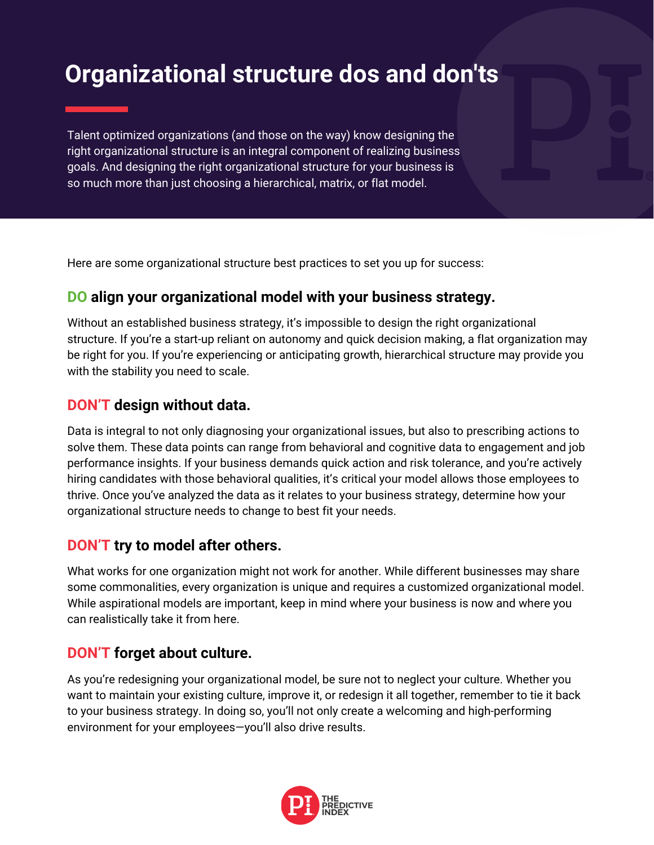# **Organizational structure dos and don'ts**

Talent optimized organizations (and those on the way) know designing the right organizational structure is an integral component of realizing business goals. And designing the right organizational structure for your business is so much more than just choosing a hierarchical, matrix, or flat model.

Here are some organizational structure best practices to set you up for success:

### **DO align your organizational model with your business strategy.**

Without an established business strategy, it's impossible to design the right organizational structure. If you're a start-up reliant on autonomy and quick decision making, a flat organization may be right for you. If you're experiencing or anticipating growth, hierarchical structure may provide you with the stability you need to scale.

#### **DON'T design without data.**

Data is integral to not only diagnosing your organizational issues, but also to prescribing actions to solve them. These data points can range from behavioral and cognitive data to engagement and job performance insights. If your business demands quick action and risk tolerance, and you're actively hiring candidates with those behavioral qualities, it's critical your model allows those employees to thrive. Once you've analyzed the data as it relates to your business strategy, determine how your organizational structure needs to change to best fit your needs.

### **DON'T try to model after others.**

What works for one organization might not work for another. While different businesses may share some commonalities, every organization is unique and requires a customized organizational model. While aspirational models are important, keep in mind where your business is now and where you can realistically take it from here.

### **DON'T forget about culture.**

As you're redesigning your organizational model, be sure not to neglect your culture. Whether you want to maintain your existing culture, improve it, or redesign it all together, remember to tie it back to your business strategy. In doing so, you'll not only create a welcoming and high-performing environment for your employees—you'll also drive results.